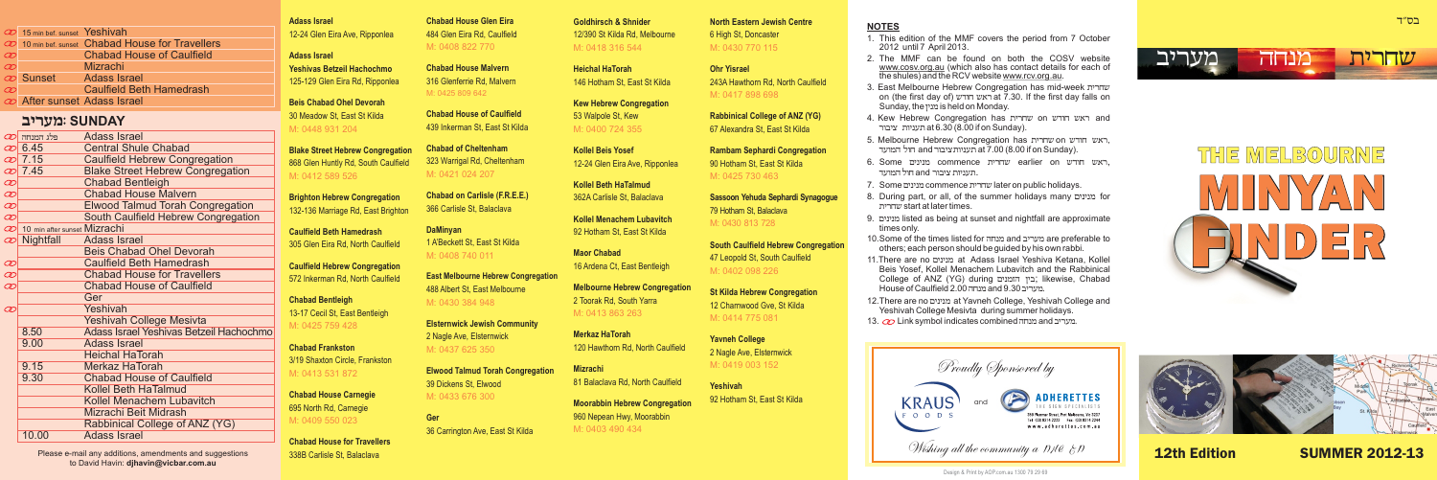|          | 20 15 min bef. sunset Yeshivah |                                                   |
|----------|--------------------------------|---------------------------------------------------|
|          |                                | 20 10 min bef. sunset Chabad House for Travellers |
| $\infty$ |                                | <b>Chabad House of Caulfield</b>                  |
| $\infty$ |                                | Mizrachi                                          |
|          | Co Sunset                      | <b>Adass Israel</b>                               |
| $\infty$ |                                | <b>Caulfield Beth Hamedrash</b>                   |
|          | @ After sunset Adass Israel    |                                                   |
|          |                                |                                                   |

# **chrgn**: **SUNDAY**

| হা            | פלג המנחה                    | Adass Israel                            |
|---------------|------------------------------|-----------------------------------------|
|               | $\varnothing$ 6.45           | <b>Central Shule Chabad</b>             |
|               | $\varnothing$ 7.15           | <b>Caulfield Hebrew Congregation</b>    |
|               | න් 7.45                      | <b>Blake Street Hebrew Congregation</b> |
| O             |                              | <b>Chabad Bentleigh</b>                 |
| O             |                              | <b>Chabad House Malvern</b>             |
| Ø             |                              | <b>Elwood Talmud Torah Congregation</b> |
| Ø             |                              | South Caulfield Hebrew Congregation     |
| হা            | 10 min after sunset Mizrachi |                                         |
| $\varnothing$ | Nightfall                    | Adass Israel                            |
|               |                              | <b>Beis Chabad Ohel Devorah</b>         |
| $\varpi$      |                              | <b>Caulfield Beth Hamedrash</b>         |
| Ø             |                              | <b>Chabad House for Travellers</b>      |
| C             |                              | <b>Chabad House of Caulfield</b>        |
|               |                              | Ger                                     |
| စာ            |                              | Yeshivah                                |
|               |                              | <b>Yeshivah College Mesivta</b>         |
|               | 8.50                         | Adass Israel Yeshivas Betzeil Hachochmo |
|               | 9.00                         | Adass Israel                            |
|               |                              | <b>Heichal HaTorah</b>                  |
|               | 9.15                         | Merkaz HaTorah                          |
|               | 9.30                         | <b>Chabad House of Caulfield</b>        |
|               |                              | Kollel Beth HaTalmud                    |
|               |                              | Kollel Menachem Lubavitch               |
|               |                              | Mizrachi Beit Midrash                   |
|               |                              | Rabbinical College of ANZ (YG)          |
|               | 10.00                        | Adass Israel                            |
|               |                              |                                         |

Please e-mail any additions, amendments and suggestions to David Havin: **djhavin@vicbar.com.au**

**Adass Israel Chabad House Glen Eira** 12-24 Glen Eira Ave, Ripponlea 484 Glen Eira Rd, Caulfield

**Chabad House Malvern** 125-129 Glen Eira Rd, Ripponlea 316 Glenferrie Rd, Malvern **Beis Chabad Ohel Devorah Yeshivas Betzeil Hachochmo** M: 0425 809 642

30 Meadow St, East St Kilda **Chabad House of Caulfield** M: 0448 931 204

**Adass Israel** 

**Blake Street Hebrew Congregation Chabad of Cheltenham**  868 Glen Huntly Rd, South Caulfield 323 Warrigal Rd, Cheltenham  $M: 0412 589 526$ M: 0421 024 207

**Brighton Hebrew Congregation Chabad on Carlisle (F.R.E.E.)** 132-136 Marriage Rd, East Brighton

39 Dickens St, Elwood

M: 0433 676 300

M: 0437 625 350

36 Carrington Ave, East St Kilda

**Ger**

439 Inkerman St, East St Kilda

M: 0408 822 770

**Caulfield Beth Hamedrash DaMinyan<br>205 Clea Fire Rd, North Coulfield 1.4'Beckett St. Fast St Kilda** 305 Glen Eira Rd, North Caulfield **Caulfield Hebrew Congregation East Melbourne Hebrew Congregation** 572 Inkerman Rd, North Caulfield 488 Albert St, East Melbourne **Chabad Bentleigh**  13-17 Cecil St, East Bentleigh M: 0408 740 011 M: 0425 759 428 M: 0430 384 948

**Chabad Frankston**  3/19 Shaxton Circle, Frankston M: 0413 531 872

**Chabad House Carnegie** 695 North Rd, Carnegie M: 0409 550 023

**Chabad House for Travellers** 338B Carlisle St, Balaclava

12/390 St Kilda Rd, Melbourne 6 High St, Doncaster M: 0418 316 544 M: 0430 770 115

**Heichal HaTorah Ohr Yisrael**

**Kew Hebrew Congregation** M: 0400 724 355

**Kollel Beth HaTalmud**

**Kollel Menachem Lubavitch** 92 Hotham St, East St Kilda

16 Ardena Ct, East Bentleigh

M: 0413 863 263

**Elsternwick Jewish Community** 2 Nagle Ave, Elsternwick

**Merkaz HaTorah Yavneh College** 

**Elwood Talmud Torah Congregation Mizrachi** 81 Balaclava Rd, North Caulfield **Yeshivah**

> 92 Hotham St, East St Kilda **Moorabbin Hebrew Congregation** 960 Nepean Hwy, Moorabbin

**Goldhirsch & Shnider North Eastern Jewish Centre**

146 Hotham St, East St Kilda 243A Hawthorn Rd, North Caulfield M: 0417 898 698

53 Walpole St, Kew **Rabbinical College of ANZ (YG)** 67 Alexandra St, East St Kilda

**Kollel Beis Yosef Rambam Sephardi Congregation** 12-24 Glen Eira Ave, Ripponlea 90 Hotham St, East St Kilda M: 0425 730 463

362A Carlisle St, Balaclava **Sassoon Yehuda Sephardi Synagogue** 79 Hotham St, Balaclava M: 0430 813 728

**South Caulfield Hebrew Congregation Maor Chabad** 47 Leopold St, South Caulfield M: 0402 098 226

**Melbourne Hebrew Congregation St Kilda Hebrew Congregation** 12 Charnwood Gve, St Kilda M: 0414 775 081

> 2 Nagle Ave, Elsternwick M: 0419 003 152

M: 0403 490 434

### **NOTES**

- 1. This edition of the MMF covers the period from 7 October 2012 until 7 April 2013.
- 2. The MMF can be found on both the COSV website www.cosv.org.au (which also has contact details for each of the shules) and the RCV website www.rcv.org.au.
- 3. East Melbourne Hebrew Congregation has mid-week שחרית on (the first day of) ראש חודש at 7.30. If the first day falls on Sunday, the מנין is held on Monday.
- 4. Kew Hebrew Congregation has ראש חודש on באש and תעניות ציבור at 6.30 (8.00 if on Sunday).
- 5. Melbourne Hebrew Congregation has האש חודש on האש העניות ציבור and חול המועד at 7.00 (8.00 if on Sunday).
- 6. Some commence שחרית earlier on בנינים commence . העונות שוכור  $\ln$ ם חול המועד
- 7. Some מנינים commence שחרית later on public holidays.
- 8. During part, or all, of the summer holidays many purior ,hrjastart at later times.
- 9. dhisted as being at sunset and nightfall are approximate times only.
- 10. Some of the times listed for מנחה and מעריב are preferable to others; each person should be guided by his own rabbi.
- 11. There are no מנינים at Adass Israel Yeshiva Ketana, Kollel Beis Yosef, Kollel Menachem Lubavitch and the Rabbinical College of ANZ (YG) during בין הזמנים; likewise, Chabad <u>מעריב 3</u>0.0 and מנחה 2.00 House of Caulfield .
- 12. There are no מנינים at Yavneh College, Yeshivah College and Yeshivah College Mesivta during summer holidays. 13. **Co** Link symbol indicates combined מנחה and chryp.





 $T''$ בס





12th Edition SUMMER 2012-13